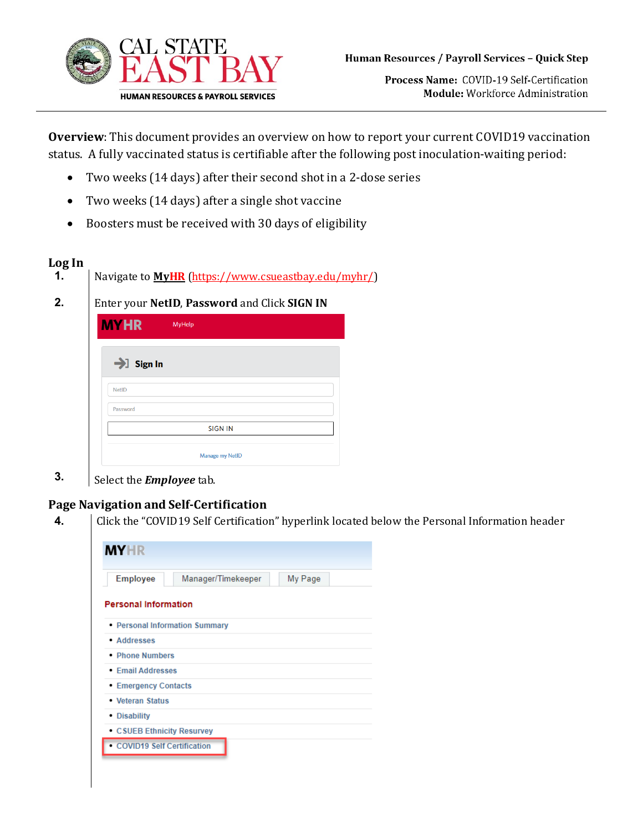

Process Name: COVID-19 Self-Certification Module: Workforce Administration

**Overview**: This document provides an overview on how to report your current COVID19 vaccination status. A fully vaccinated status is certifiable after the following post inoculation-waiting period:

- Two weeks (14 days) after their second shot in a 2-dose series
- Two weeks (14 days) after a single shot vaccine
- Boosters must be received with 30 days of eligibility

## **Log In 1.** Navigate to **[MyHR](https://www.csueastbay.edu/myhr/)** [\(https://www.csueastbay.edu/myhr/\)](https://www.csueastbay.edu/mycsueb/) **2.** Enter your **NetID**, **Password** and Click **SIGN IN MYHR** MyHelp  $\rightarrow$  Sign In NetID Password **SIGN IN** Manage my NetID

**3.** Select the *Employee* tab.

## **Page Navigation and Self-Certification**

**4.** Click the "COVID19 Self Certification" hyperlink located below the Personal Information header

| <b>Employee</b>             | Manager/Timekeeper             | My Page |
|-----------------------------|--------------------------------|---------|
| <b>Personal Information</b> |                                |         |
|                             | • Personal Information Summary |         |
| • Addresses                 |                                |         |
| • Phone Numbers             |                                |         |
| • Email Addresses           |                                |         |
| • Emergency Contacts        |                                |         |
| • Veteran Status            |                                |         |
| • Disability                |                                |         |
|                             | • CSUEB Ethnicity Resurvey     |         |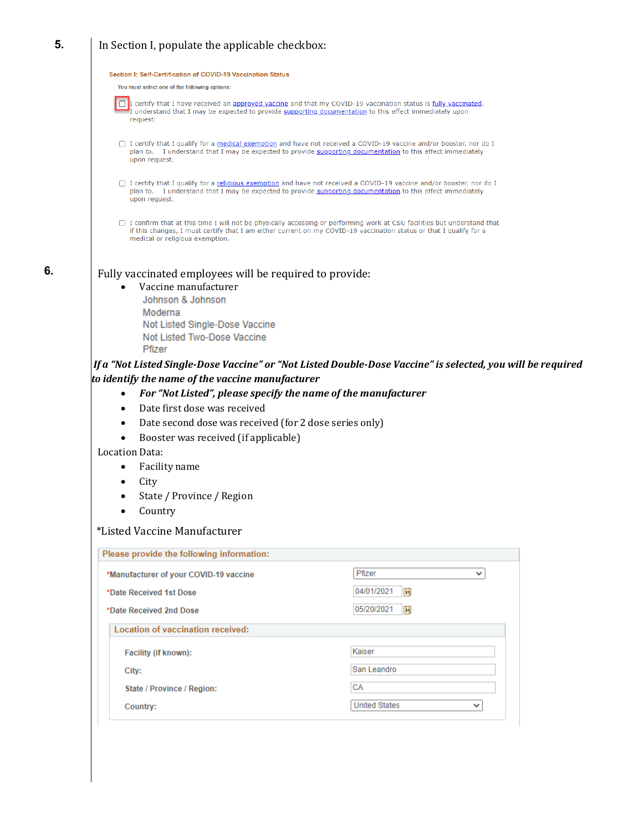## **5.** In Section I, populate the applicable checkbox:

| Section I: Self-Certification of COVID-19 Vaccination Status                                                                                                                                                                                                                                                                                                                                                                                |                           |
|---------------------------------------------------------------------------------------------------------------------------------------------------------------------------------------------------------------------------------------------------------------------------------------------------------------------------------------------------------------------------------------------------------------------------------------------|---------------------------|
| You must select one of the following options:                                                                                                                                                                                                                                                                                                                                                                                               |                           |
| I certify that I have received an approved vaccine and that my COVID-19 vaccination status is fully vaccinated.<br>I understand that I may be expected to provide supporting documentation to this effect immediately upon<br>request.                                                                                                                                                                                                      |                           |
| □ I certify that I qualify for a medical exemption and have not received a COVID-19 vaccine and/or booster, nor do I<br>plan to. I understand that I may be expected to provide supporting documentation to this effect immediately<br>upon request.                                                                                                                                                                                        |                           |
| □ I certify that I qualify for a religious exemption and have not received a COVID-19 vaccine and/or booster, nor do I<br>plan to. I understand that I may be expected to provide supporting documentation to this effect immediately<br>upon request.                                                                                                                                                                                      |                           |
| □ I confirm that at this time I will not be physically accessing or performing work at CSU facilities but understand that<br>if this changes, I must certify that I am either current on my COVID-19 vaccination status or that I qualify for a<br>medical or religious exemption.                                                                                                                                                          |                           |
| Fully vaccinated employees will be required to provide:<br>Vaccine manufacturer<br>Johnson & Johnson<br>Moderna<br>Not Listed Single-Dose Vaccine<br>Not Listed Two-Dose Vaccine<br>Pfizer<br>If a "Not Listed Single-Dose Vaccine" or "Not Listed Double-Dose Vaccine" is selected, you will be required<br>to identify the name of the vaccine manufacturer<br>For "Not Listed", please specify the name of the manufacturer<br>$\bullet$ |                           |
| Date first dose was received                                                                                                                                                                                                                                                                                                                                                                                                                |                           |
| Date second dose was received (for 2 dose series only)                                                                                                                                                                                                                                                                                                                                                                                      |                           |
| Booster was received (if applicable)                                                                                                                                                                                                                                                                                                                                                                                                        |                           |
| Location Data:                                                                                                                                                                                                                                                                                                                                                                                                                              |                           |
| Facility name<br>$\bullet$                                                                                                                                                                                                                                                                                                                                                                                                                  |                           |
| City<br>٠                                                                                                                                                                                                                                                                                                                                                                                                                                   |                           |
| State / Province / Region                                                                                                                                                                                                                                                                                                                                                                                                                   |                           |
| Country                                                                                                                                                                                                                                                                                                                                                                                                                                     |                           |
| *Listed Vaccine Manufacturer                                                                                                                                                                                                                                                                                                                                                                                                                |                           |
|                                                                                                                                                                                                                                                                                                                                                                                                                                             |                           |
| Please provide the following information:                                                                                                                                                                                                                                                                                                                                                                                                   |                           |
| *Manufacturer of your COVID-19 vaccine                                                                                                                                                                                                                                                                                                                                                                                                      | Pfizer<br>v               |
| *Date Received 1st Dose                                                                                                                                                                                                                                                                                                                                                                                                                     | 04/01/2021<br>BU          |
| *Date Received 2nd Dose                                                                                                                                                                                                                                                                                                                                                                                                                     | 05/20/2021<br>31          |
| Location of vaccination received:                                                                                                                                                                                                                                                                                                                                                                                                           |                           |
| Facility (if known):                                                                                                                                                                                                                                                                                                                                                                                                                        | Kaiser                    |
| City:                                                                                                                                                                                                                                                                                                                                                                                                                                       | San Leandro               |
| State / Province / Region:                                                                                                                                                                                                                                                                                                                                                                                                                  | СA                        |
| Country:                                                                                                                                                                                                                                                                                                                                                                                                                                    | <b>United States</b><br>◡ |
|                                                                                                                                                                                                                                                                                                                                                                                                                                             |                           |

**6.**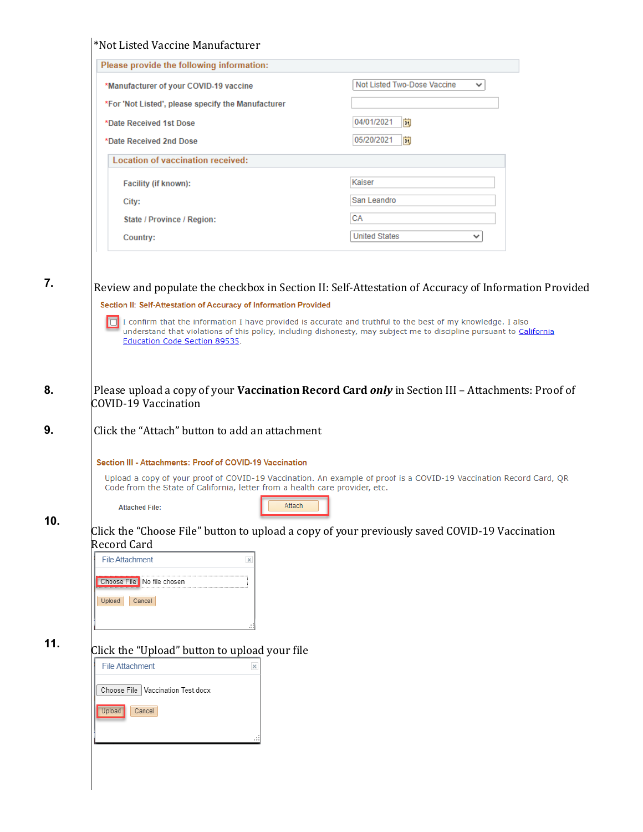| Please provide the following information:                                                                                                                                                                        |                                                                                                                      |
|------------------------------------------------------------------------------------------------------------------------------------------------------------------------------------------------------------------|----------------------------------------------------------------------------------------------------------------------|
| *Manufacturer of your COVID-19 vaccine                                                                                                                                                                           | Not Listed Two-Dose Vaccine<br>✓                                                                                     |
| *For 'Not Listed', please specify the Manufacturer                                                                                                                                                               |                                                                                                                      |
| *Date Received 1st Dose                                                                                                                                                                                          | 04/01/2021<br>B <sub>1</sub>                                                                                         |
| *Date Received 2nd Dose                                                                                                                                                                                          | 05/20/2021<br>BU                                                                                                     |
| Location of vaccination received:                                                                                                                                                                                |                                                                                                                      |
| Facility (if known):                                                                                                                                                                                             | Kaiser                                                                                                               |
| City:                                                                                                                                                                                                            | San Leandro                                                                                                          |
| State / Province / Region:                                                                                                                                                                                       | CA                                                                                                                   |
| Country:                                                                                                                                                                                                         | <b>United States</b><br>✓                                                                                            |
|                                                                                                                                                                                                                  |                                                                                                                      |
| Section II: Self-Attestation of Accuracy of Information Provided<br>I confirm that the information I have provided is accurate and truthful to the best of my knowledge. I also<br>Education Code Section 89535. | understand that violations of this policy, including dishonesty, may subject me to discipline pursuant to California |
| <b>COVID-19 Vaccination</b><br>Click the "Attach" button to add an attachment                                                                                                                                    | Please upload a copy of your Vaccination Record Card only in Section III - Attachments: Proof of                     |
| Section III - Attachments: Proof of COVID-19 Vaccination                                                                                                                                                         |                                                                                                                      |
| Code from the State of California, letter from a health care provider, etc.                                                                                                                                      | Upload a copy of your proof of COVID-19 Vaccination. An example of proof is a COVID-19 Vaccination Record Card, QR   |
| Attach<br><b>Attached File:</b>                                                                                                                                                                                  |                                                                                                                      |
| <b>Record Card</b>                                                                                                                                                                                               | Click the "Choose File" button to upload a copy of your previously saved COVID-19 Vaccination                        |
| <b>File Attachment</b><br>$\times$                                                                                                                                                                               |                                                                                                                      |
| Choose File No file chosen                                                                                                                                                                                       |                                                                                                                      |
|                                                                                                                                                                                                                  |                                                                                                                      |
| Cancel<br>Upload                                                                                                                                                                                                 |                                                                                                                      |
|                                                                                                                                                                                                                  |                                                                                                                      |
| Click the "Upload" button to upload your file                                                                                                                                                                    |                                                                                                                      |
| <b>File Attachment</b>                                                                                                                                                                                           |                                                                                                                      |
|                                                                                                                                                                                                                  |                                                                                                                      |
|                                                                                                                                                                                                                  |                                                                                                                      |
| Choose File   Vaccination Test.docx                                                                                                                                                                              |                                                                                                                      |
| Upload<br>Cancel                                                                                                                                                                                                 |                                                                                                                      |
|                                                                                                                                                                                                                  |                                                                                                                      |
|                                                                                                                                                                                                                  |                                                                                                                      |